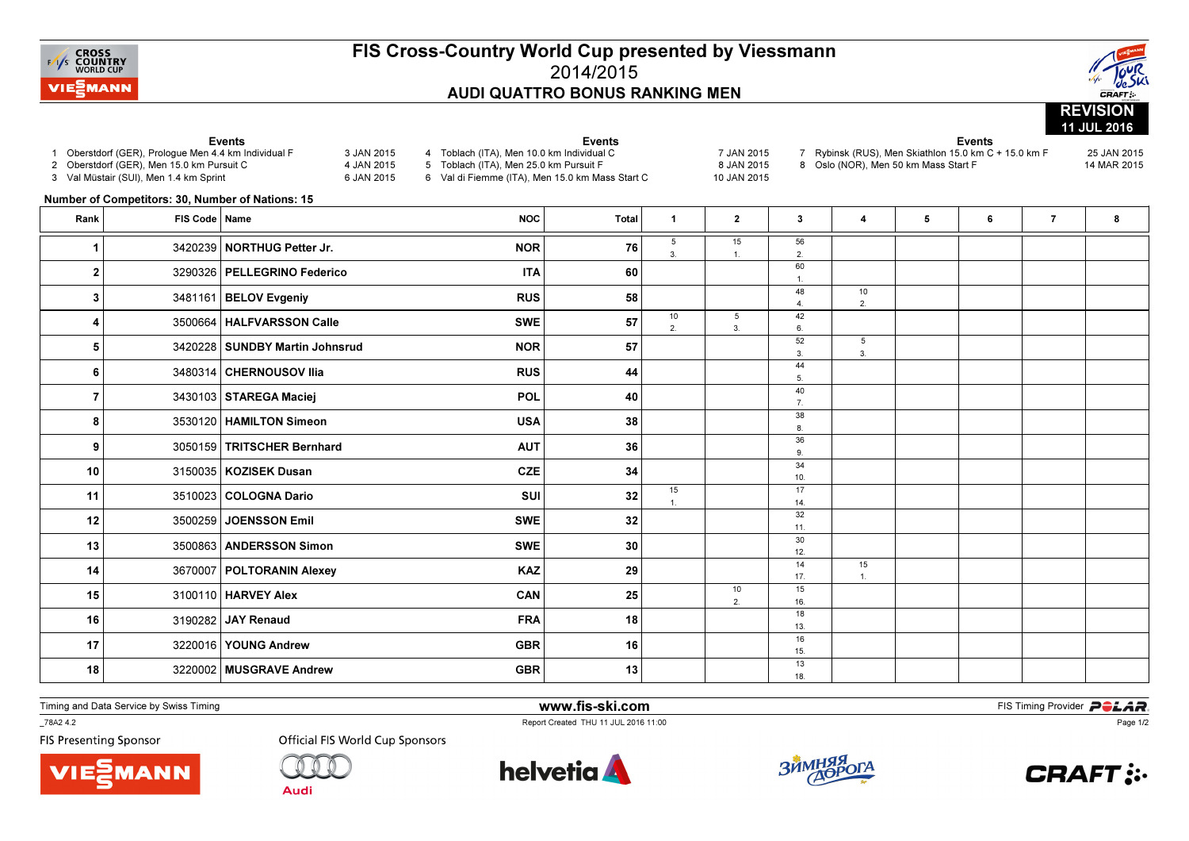

## FIS Cross-Country World Cup presented by Viessmann2014/2015AUDI QUATTRO BONUS RANKING MEN



|                         | 1 Oberstdorf (GER), Prologue Men 4.4 km Individual F<br>2 Oberstdorf (GER), Men 15.0 km Pursuit C<br>3 Val Müstair (SUI), Men 1.4 km Sprint<br>Number of Competitors: 30, Number of Nations: 15 | Events<br>3 JAN 2015<br>4 JAN 2015<br>6 JAN 2015 | <b>Events</b><br>4 Toblach (ITA), Men 10.0 km Individual C<br>5 Toblach (ITA), Men 25.0 km Pursuit F<br>6 Val di Fiemme (ITA), Men 15.0 km Mass Start C |              |                    | 7 JAN 2015<br>8 JAN 2015<br>10 JAN 2015 | 7 Rybinsk (RUS), Men Skiathlon 15.0 km C + 15.0 km F<br>8 Oslo (NOR), Men 50 km Mass Start F | 25 JAN 2015<br>14 MAR 2015 |   |   |                |   |
|-------------------------|-------------------------------------------------------------------------------------------------------------------------------------------------------------------------------------------------|--------------------------------------------------|---------------------------------------------------------------------------------------------------------------------------------------------------------|--------------|--------------------|-----------------------------------------|----------------------------------------------------------------------------------------------|----------------------------|---|---|----------------|---|
| Rank                    | FIS Code   Name                                                                                                                                                                                 |                                                  | <b>NOC</b>                                                                                                                                              | <b>Total</b> | $\mathbf{1}$       | $\mathbf{2}$                            | $\mathbf{3}$                                                                                 | 4                          | 5 | 6 | $\overline{7}$ | 8 |
|                         |                                                                                                                                                                                                 | 3420239   NORTHUG Petter Jr.                     | <b>NOR</b>                                                                                                                                              | 76           | 5<br>3.            | 15                                      | 56<br>2.                                                                                     |                            |   |   |                |   |
| $\overline{\mathbf{2}}$ |                                                                                                                                                                                                 | 3290326   PELLEGRINO Federico                    | <b>ITA</b>                                                                                                                                              | 60           |                    |                                         | 60<br>$\mathbf{1}$ .                                                                         |                            |   |   |                |   |
| 3                       |                                                                                                                                                                                                 | 3481161   BELOV Evgeniy                          | <b>RUS</b>                                                                                                                                              | 58           |                    |                                         | 48<br>$\overline{4}$ .                                                                       | 10<br>2.                   |   |   |                |   |
| 4                       |                                                                                                                                                                                                 | 3500664   HALFVARSSON Calle                      | <b>SWE</b>                                                                                                                                              | 57           | 10<br>2.           | 5<br>3.                                 | 42<br>6.                                                                                     |                            |   |   |                |   |
| 5                       |                                                                                                                                                                                                 | 3420228   SUNDBY Martin Johnsrud                 | <b>NOR</b>                                                                                                                                              | 57           |                    |                                         | 52<br>3.                                                                                     | 5<br>3.                    |   |   |                |   |
| 6                       |                                                                                                                                                                                                 | 3480314 CHERNOUSOV Ilia                          | <b>RUS</b>                                                                                                                                              | 44           |                    |                                         | 44<br>5.                                                                                     |                            |   |   |                |   |
| 7                       |                                                                                                                                                                                                 | 3430103   STAREGA Maciej                         | <b>POL</b>                                                                                                                                              | 40           |                    |                                         | 40<br>7.                                                                                     |                            |   |   |                |   |
| 8                       |                                                                                                                                                                                                 | 3530120   HAMILTON Simeon                        | <b>USA</b>                                                                                                                                              | 38           |                    |                                         | 38<br>8.                                                                                     |                            |   |   |                |   |
| 9                       |                                                                                                                                                                                                 | 3050159   TRITSCHER Bernhard                     | <b>AUT</b>                                                                                                                                              | 36           |                    |                                         | 36<br>9.                                                                                     |                            |   |   |                |   |
| 10                      |                                                                                                                                                                                                 | 3150035   KOZISEK Dusan                          | <b>CZE</b>                                                                                                                                              | 34           |                    |                                         | 34<br>10.                                                                                    |                            |   |   |                |   |
| 11                      |                                                                                                                                                                                                 | 3510023 COLOGNA Dario                            | SUI                                                                                                                                                     | 32           | 15<br>$\mathbf{1}$ |                                         | 17<br>14.                                                                                    |                            |   |   |                |   |
| 12                      |                                                                                                                                                                                                 | 3500259 JOENSSON Emil                            | <b>SWE</b>                                                                                                                                              | 32           |                    |                                         | 32<br>11.                                                                                    |                            |   |   |                |   |
| 13                      |                                                                                                                                                                                                 | 3500863 ANDERSSON Simon                          | <b>SWE</b>                                                                                                                                              | 30           |                    |                                         | 30<br>12.                                                                                    |                            |   |   |                |   |
| 14                      |                                                                                                                                                                                                 | 3670007   POLTORANIN Alexey                      | <b>KAZ</b>                                                                                                                                              | 29           |                    |                                         | 14<br>17.                                                                                    | 15<br>1                    |   |   |                |   |
| 15                      |                                                                                                                                                                                                 | 3100110   HARVEY Alex                            | CAN                                                                                                                                                     | 25           |                    | 10<br>2.                                | 15<br>16.                                                                                    |                            |   |   |                |   |
| 16                      |                                                                                                                                                                                                 | 3190282 JAY Renaud                               | <b>FRA</b>                                                                                                                                              | 18           |                    |                                         | 18<br>13.                                                                                    |                            |   |   |                |   |
| 17                      |                                                                                                                                                                                                 | 3220016   YOUNG Andrew                           | <b>GBR</b>                                                                                                                                              | 16           |                    |                                         | 16<br>15.                                                                                    |                            |   |   |                |   |
| 18                      |                                                                                                                                                                                                 | 3220002 MUSGRAVE Andrew                          | <b>GBR</b>                                                                                                                                              | 13           |                    |                                         | 13<br>18.                                                                                    |                            |   |   |                |   |

Timing and Data Service by Swiss Timing

\_78A2 4.2

**FIS Presenting Sponsor** 





**Official FIS World Cup Sponsors** 

helvetia **A** 

www.fis-ski.com

Report Created THU 11 JUL 2016 11:00



**m**<br>FIS Timing Provider<br>Is 11:00



Page 1/2